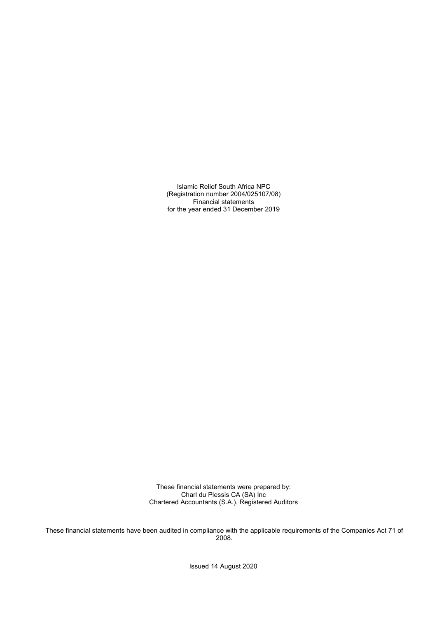Islamic Relief South Africa NPC (Registration number 2004/025107/08) Financial statements for the year ended 31 December 2019

These financial statements were prepared by: Charl du Plessis CA (SA) Inc Chartered Accountants (S.A.), Registered Auditors

These financial statements have been audited in compliance with the applicable requirements of the Companies Act 71 of 2008.

Issued 14 August 2020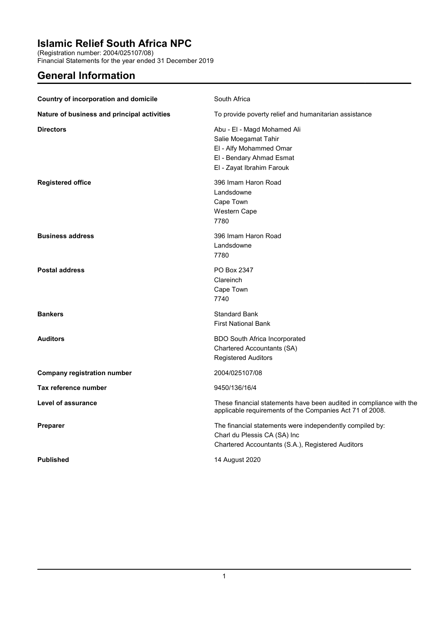(Registration number: 2004/025107/08) Financial Statements for the year ended 31 December 2019

### General Information

| Country of incorporation and domicile       | South Africa                                                                                                                                  |
|---------------------------------------------|-----------------------------------------------------------------------------------------------------------------------------------------------|
| Nature of business and principal activities | To provide poverty relief and humanitarian assistance                                                                                         |
| <b>Directors</b>                            | Abu - El - Magd Mohamed Ali<br>Salie Moegamat Tahir<br>El - Alfy Mohammed Omar<br>El - Bendary Ahmad Esmat<br>El - Zayat Ibrahim Farouk       |
| <b>Registered office</b>                    | 396 Imam Haron Road<br>Landsdowne<br>Cape Town<br>Western Cape<br>7780                                                                        |
| <b>Business address</b>                     | 396 Imam Haron Road<br>Landsdowne<br>7780                                                                                                     |
| <b>Postal address</b>                       | PO Box 2347<br>Clareinch<br>Cape Town<br>7740                                                                                                 |
| <b>Bankers</b>                              | <b>Standard Bank</b><br><b>First National Bank</b>                                                                                            |
| <b>Auditors</b>                             | <b>BDO South Africa Incorporated</b><br>Chartered Accountants (SA)<br><b>Registered Auditors</b>                                              |
| <b>Company registration number</b>          | 2004/025107/08                                                                                                                                |
| Tax reference number                        | 9450/136/16/4                                                                                                                                 |
| Level of assurance                          | These financial statements have been audited in compliance with the<br>applicable requirements of the Companies Act 71 of 2008.               |
| <b>Preparer</b>                             | The financial statements were independently compiled by:<br>Charl du Plessis CA (SA) Inc<br>Chartered Accountants (S.A.), Registered Auditors |
| <b>Published</b>                            | 14 August 2020                                                                                                                                |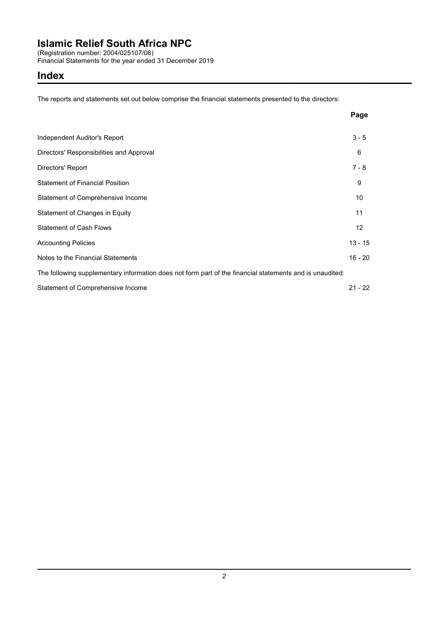(Registration number: 2004/025107/08)

Financial Statements for the year ended 31 December 2019

### Index

The reports and statements set out below comprise the financial statements presented to the directors:

|                                                                                                          | Page      |
|----------------------------------------------------------------------------------------------------------|-----------|
| Independent Auditor's Report                                                                             | $3 - 5$   |
| Directors' Responsibilities and Approval                                                                 | 6         |
| Directors' Report                                                                                        | $7 - 8$   |
| <b>Statement of Financial Position</b>                                                                   | 9         |
| Statement of Comprehensive Income                                                                        | 10        |
| Statement of Changes in Equity                                                                           | 11        |
| <b>Statement of Cash Flows</b>                                                                           | 12        |
| <b>Accounting Policies</b>                                                                               | $13 - 15$ |
| Notes to the Financial Statements                                                                        | $16 - 20$ |
| The following supplementary information does not form part of the financial statements and is unaudited: |           |
| Statement of Comprehensive Income                                                                        | $21 - 22$ |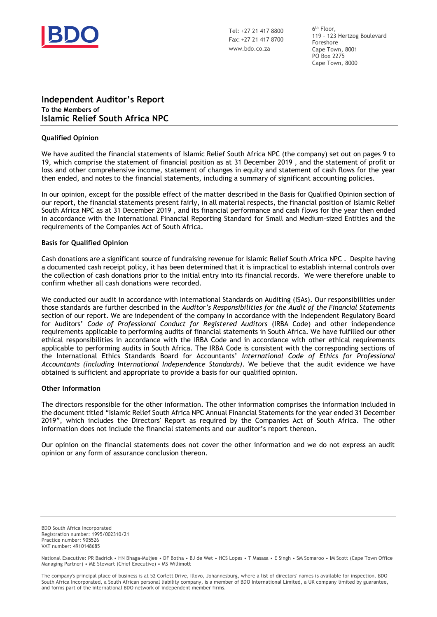

Tel: +27 21 417 8800 Fax: +27 21 417 8700 www.bdo.co.za

6 th Floor, 119 – 123 Hertzog Boulevard Foreshore Cape Town, 8001 PO Box 2275 Cape Town, 8000

#### **Independent Auditor's Report To the Members of Islamic Relief South Africa NPC**

#### **Qualified Opinion**

We have audited the financial statements of Islamic Relief South Africa NPC (the company) set out on pages 9 to 19, which comprise the statement of financial position as at 31 December 2019 , and the statement of profit or loss and other comprehensive income, statement of changes in equity and statement of cash flows for the year then ended, and notes to the financial statements, including a summary of significant accounting policies.

In our opinion, except for the possible effect of the matter described in the Basis for Qualified Opinion section of our report, the financial statements present fairly, in all material respects, the financial position of Islamic Relief South Africa NPC as at 31 December 2019 , and its financial performance and cash flows for the year then ended in accordance with the International Financial Reporting Standard for Small and Medium-sized Entities and the requirements of the Companies Act of South Africa.

#### **Basis for Qualified Opinion**

Cash donations are a significant source of fundraising revenue for Islamic Relief South Africa NPC . Despite having a documented cash receipt policy, it has been determined that it is impractical to establish internal controls over the collection of cash donations prior to the initial entry into its financial records. We were therefore unable to confirm whether all cash donations were recorded.

We conducted our audit in accordance with International Standards on Auditing (ISAs). Our responsibilities under those standards are further described in the *Auditor's Responsibilities for the Audit of the Financial Statements* section of our report. We are independent of the company in accordance with the Independent Regulatory Board for Auditors' *Code of Professional Conduct for Registered Auditors* (IRBA Code) and other independence requirements applicable to performing audits of financial statements in South Africa. We have fulfilled our other ethical responsibilities in accordance with the IRBA Code and in accordance with other ethical requirements applicable to performing audits in South Africa. The IRBA Code is consistent with the corresponding sections of the International Ethics Standards Board for Accountants' *International Code of Ethics for Professional Accountants (including International Independence Standards)*. We believe that the audit evidence we have obtained is sufficient and appropriate to provide a basis for our qualified opinion.

#### **Other Information**

The directors responsible for the other information. The other information comprises the information included in the document titled "Islamic Relief South Africa NPC Annual Financial Statements for the year ended 31 December 2019", which includes the Directors' Report as required by the Companies Act of South Africa. The other information does not include the financial statements and our auditor's report thereon.

Our opinion on the financial statements does not cover the other information and we do not express an audit opinion or any form of assurance conclusion thereon.

The company's principal place of business is at 52 Corlett Drive, Illovo, Johannesburg, where a list of directors' names is available for inspection. BDO South Africa Incorporated, a South African personal liability company, is a member of BDO International Limited, a UK company limited by guarantee, and forms part of the international BDO network of independent member firms.

BDO South Africa Incorporated Registration number: 1995/002310/21 Practice number: 905526 VAT number: 4910148685

National Executive: PR Badrick • HN Bhaga-Muljee • DF Botha • BJ de Wet • HCS Lopes • T Masasa • E Singh • SM Somaroo • IM Scott (Cape Town Office Managing Partner) • ME Stewart (Chief Executive) • MS Willimott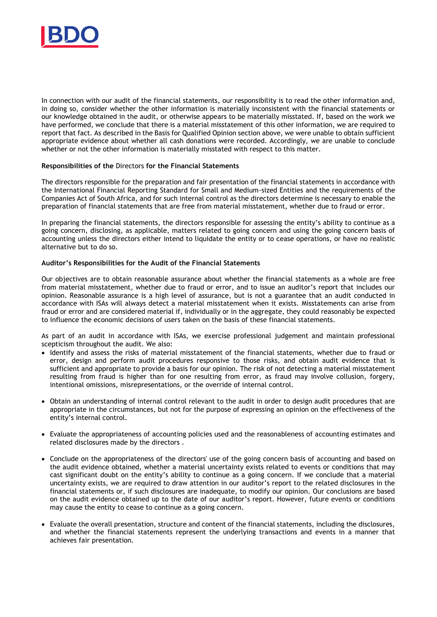

In connection with our audit of the financial statements, our responsibility is to read the other information and, in doing so, consider whether the other information is materially inconsistent with the financial statements or our knowledge obtained in the audit, or otherwise appears to be materially misstated. If, based on the work we have performed, we conclude that there is a material misstatement of this other information, we are required to report that fact. As described in the Basis for Qualified Opinion section above, we were unable to obtain sufficient appropriate evidence about whether all cash donations were recorded. Accordingly, we are unable to conclude whether or not the other information is materially misstated with respect to this matter.

#### **Responsibilities of the** Directors **for the Financial Statements**

The directors responsible for the preparation and fair presentation of the financial statements in accordance with the International Financial Reporting Standard for Small and Medium-sized Entities and the requirements of the Companies Act of South Africa, and for such internal control as the directors determine is necessary to enable the preparation of financial statements that are free from material misstatement, whether due to fraud or error.

In preparing the financial statements, the directors responsible for assessing the entity's ability to continue as a going concern, disclosing, as applicable, matters related to going concern and using the going concern basis of accounting unless the directors either intend to liquidate the entity or to cease operations, or have no realistic alternative but to do so.

#### **Auditor's Responsibilities for the Audit of the Financial Statements**

Our objectives are to obtain reasonable assurance about whether the financial statements as a whole are free from material misstatement, whether due to fraud or error, and to issue an auditor's report that includes our opinion. Reasonable assurance is a high level of assurance, but is not a guarantee that an audit conducted in accordance with ISAs will always detect a material misstatement when it exists. Misstatements can arise from fraud or error and are considered material if, individually or in the aggregate, they could reasonably be expected to influence the economic decisions of users taken on the basis of these financial statements.

As part of an audit in accordance with ISAs, we exercise professional judgement and maintain professional scepticism throughout the audit. We also:

- Identify and assess the risks of material misstatement of the financial statements, whether due to fraud or error, design and perform audit procedures responsive to those risks, and obtain audit evidence that is sufficient and appropriate to provide a basis for our opinion. The risk of not detecting a material misstatement resulting from fraud is higher than for one resulting from error, as fraud may involve collusion, forgery, intentional omissions, misrepresentations, or the override of internal control.
- Obtain an understanding of internal control relevant to the audit in order to design audit procedures that are appropriate in the circumstances, but not for the purpose of expressing an opinion on the effectiveness of the entity's internal control.
- Evaluate the appropriateness of accounting policies used and the reasonableness of accounting estimates and related disclosures made by the directors .
- Conclude on the appropriateness of the directors' use of the going concern basis of accounting and based on the audit evidence obtained, whether a material uncertainty exists related to events or conditions that may cast significant doubt on the entity's ability to continue as a going concern. If we conclude that a material uncertainty exists, we are required to draw attention in our auditor's report to the related disclosures in the financial statements or, if such disclosures are inadequate, to modify our opinion. Our conclusions are based on the audit evidence obtained up to the date of our auditor's report. However, future events or conditions may cause the entity to cease to continue as a going concern.
- Evaluate the overall presentation, structure and content of the financial statements, including the disclosures, and whether the financial statements represent the underlying transactions and events in a manner that achieves fair presentation.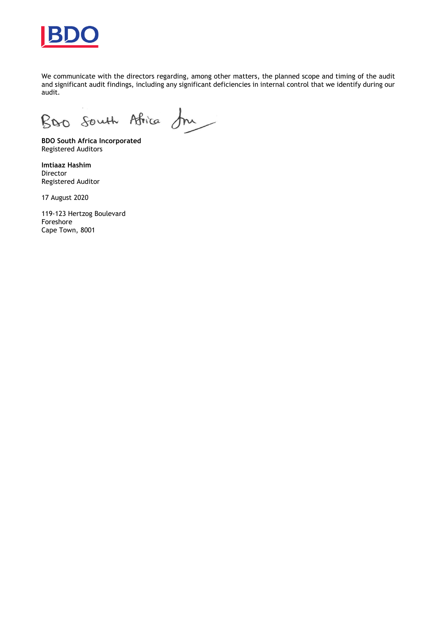

We communicate with the directors regarding, among other matters, the planned scope and timing of the audit and significant audit findings, including any significant deficiencies in internal control that we identify during our audit.

Boo south Africa for

**BDO South Africa Incorporated** Registered Auditors

**Imtiaaz Hashim** Director Registered Auditor

17 August 2020

119-123 Hertzog Boulevard Foreshore Cape Town, 8001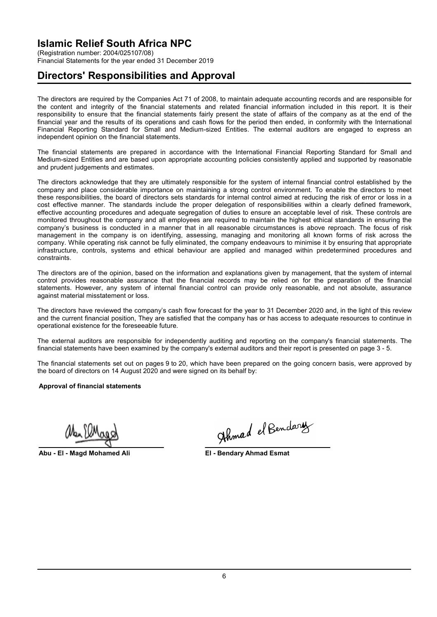(Registration number: 2004/025107/08) Financial Statements for the year ended 31 December 2019

### Directors' Responsibilities and Approval

The directors are required by the Companies Act 71 of 2008, to maintain adequate accounting records and are responsible for the content and integrity of the financial statements and related financial information included in this report. It is their responsibility to ensure that the financial statements fairly present the state of affairs of the company as at the end of the financial year and the results of its operations and cash flows for the period then ended, in conformity with the International Financial Reporting Standard for Small and Medium-sized Entities. The external auditors are engaged to express an independent opinion on the financial statements.

The financial statements are prepared in accordance with the International Financial Reporting Standard for Small and Medium-sized Entities and are based upon appropriate accounting policies consistently applied and supported by reasonable and prudent judgements and estimates.

The directors acknowledge that they are ultimately responsible for the system of internal financial control established by the company and place considerable importance on maintaining a strong control environment. To enable the directors to meet these responsibilities, the board of directors sets standards for internal control aimed at reducing the risk of error or loss in a cost effective manner. The standards include the proper delegation of responsibilities within a clearly defined framework, effective accounting procedures and adequate segregation of duties to ensure an acceptable level of risk. These controls are monitored throughout the company and all employees are required to maintain the highest ethical standards in ensuring the company's business is conducted in a manner that in all reasonable circumstances is above reproach. The focus of risk management in the company is on identifying, assessing, managing and monitoring all known forms of risk across the company. While operating risk cannot be fully eliminated, the company endeavours to minimise it by ensuring that appropriate infrastructure, controls, systems and ethical behaviour are applied and managed within predetermined procedures and constraints.

The directors are of the opinion, based on the information and explanations given by management, that the system of internal control provides reasonable assurance that the financial records may be relied on for the preparation of the financial statements. However, any system of internal financial control can provide only reasonable, and not absolute, assurance against material misstatement or loss.

The directors have reviewed the company's cash flow forecast for the year to 31 December 2020 and, in the light of this review and the current financial position, They are satisfied that the company has or has access to adequate resources to continue in operational existence for the foreseeable future.

The external auditors are responsible for independently auditing and reporting on the company's financial statements. The financial statements have been examined by the company's external auditors and their report is presented on page 3 - 5.

The financial statements set out on pages 9 to 20, which have been prepared on the going concern basis, were approved by the board of directors on 14 August 2020 and were signed on its behalf by:

Approval of financial statements

Abu - El - Magd Mohamed Ali **El - Bendary Ahmad Esmat** 

Ahmad el Bendary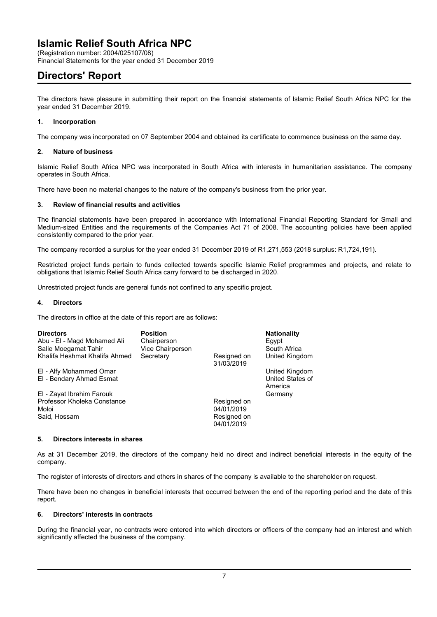(Registration number: 2004/025107/08)

Financial Statements for the year ended 31 December 2019

### Directors' Report

The directors have pleasure in submitting their report on the financial statements of Islamic Relief South Africa NPC for the year ended 31 December 2019.

#### 1. Incorporation

The company was incorporated on 07 September 2004 and obtained its certificate to commence business on the same day.

#### 2. Nature of business

Islamic Relief South Africa NPC was incorporated in South Africa with interests in humanitarian assistance. The company operates in South Africa.

There have been no material changes to the nature of the company's business from the prior year.

#### 3. Review of financial results and activities

The financial statements have been prepared in accordance with International Financial Reporting Standard for Small and Medium-sized Entities and the requirements of the Companies Act 71 of 2008. The accounting policies have been applied consistently compared to the prior year.

The company recorded a surplus for the year ended 31 December 2019 of R1,271,553 (2018 surplus: R1,724,191).

Restricted project funds pertain to funds collected towards specific Islamic Relief programmes and projects, and relate to obligations that Islamic Relief South Africa carry forward to be discharged in 2020.

Unrestricted project funds are general funds not confined to any specific project.

#### 4. Directors

The directors in office at the date of this report are as follows:

| <b>Directors</b><br>Abu - El - Magd Mohamed Ali<br>Salie Moegamat Tahir<br>Khalifa Heshmat Khalifa Ahmed | <b>Position</b><br>Chairperson<br>Vice Chairperson<br>Secretary | Resigned on<br>31/03/2019                              | <b>Nationality</b><br>Egypt<br>South Africa<br>United Kingdom |
|----------------------------------------------------------------------------------------------------------|-----------------------------------------------------------------|--------------------------------------------------------|---------------------------------------------------------------|
| EI - Alfy Mohammed Omar<br>El - Bendary Ahmad Esmat<br>El - Zayat Ibrahim Farouk                         |                                                                 |                                                        | United Kingdom<br>United States of<br>America<br>Germany      |
| Professor Kholeka Constance<br>Moloi<br>Said, Hossam                                                     |                                                                 | Resigned on<br>04/01/2019<br>Resigned on<br>04/01/2019 |                                                               |

#### 5. Directors interests in shares

As at 31 December 2019, the directors of the company held no direct and indirect beneficial interests in the equity of the company.

The register of interests of directors and others in shares of the company is available to the shareholder on request.

There have been no changes in beneficial interests that occurred between the end of the reporting period and the date of this report.

#### 6. Directors' interests in contracts

During the financial year, no contracts were entered into which directors or officers of the company had an interest and which significantly affected the business of the company.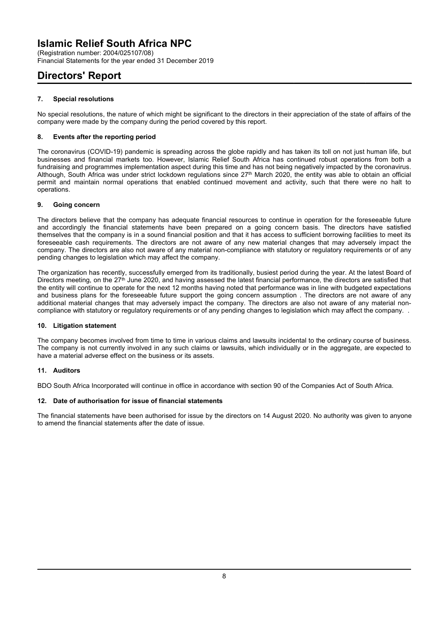(Registration number: 2004/025107/08) Financial Statements for the year ended 31 December 2019

### Directors' Report

#### 7. Special resolutions

No special resolutions, the nature of which might be significant to the directors in their appreciation of the state of affairs of the company were made by the company during the period covered by this report.

#### 8. Events after the reporting period

The coronavirus (COVID-19) pandemic is spreading across the globe rapidly and has taken its toll on not just human life, but businesses and financial markets too. However, Islamic Relief South Africa has continued robust operations from both a fundraising and programmes implementation aspect during this time and has not being negatively impacted by the coronavirus. Although, South Africa was under strict lockdown regulations since 27th March 2020, the entity was able to obtain an official permit and maintain normal operations that enabled continued movement and activity, such that there were no halt to operations.

#### 9. Going concern

The directors believe that the company has adequate financial resources to continue in operation for the foreseeable future and accordingly the financial statements have been prepared on a going concern basis. The directors have satisfied themselves that the company is in a sound financial position and that it has access to sufficient borrowing facilities to meet its foreseeable cash requirements. The directors are not aware of any new material changes that may adversely impact the company. The directors are also not aware of any material non-compliance with statutory or regulatory requirements or of any pending changes to legislation which may affect the company.

The organization has recently, successfully emerged from its traditionally, busiest period during the year. At the latest Board of Directors meeting, on the 27<sup>th</sup> June 2020, and having assessed the latest financial performance, the directors are satisfied that the entity will continue to operate for the next 12 months having noted that performance was in line with budgeted expectations and business plans for the foreseeable future support the going concern assumption . The directors are not aware of any additional material changes that may adversely impact the company. The directors are also not aware of any material noncompliance with statutory or regulatory requirements or of any pending changes to legislation which may affect the company. .

#### 10. Litigation statement

The company becomes involved from time to time in various claims and lawsuits incidental to the ordinary course of business. The company is not currently involved in any such claims or lawsuits, which individually or in the aggregate, are expected to have a material adverse effect on the business or its assets.

#### 11. Auditors

BDO South Africa Incorporated will continue in office in accordance with section 90 of the Companies Act of South Africa.

#### 12. Date of authorisation for issue of financial statements

The financial statements have been authorised for issue by the directors on 14 August 2020. No authority was given to anyone to amend the financial statements after the date of issue.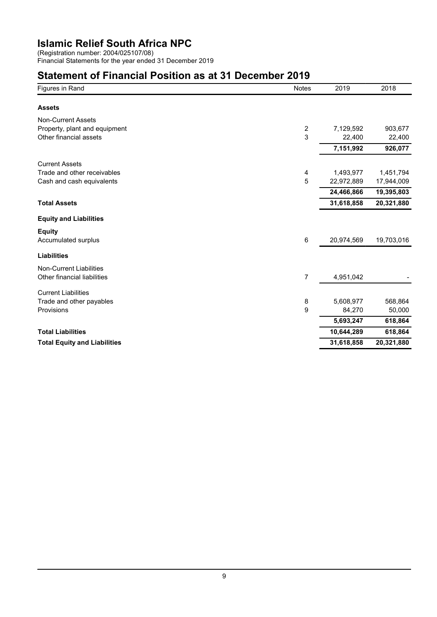(Registration number: 2004/025107/08) Financial Statements for the year ended 31 December 2019

### Statement of Financial Position as at 31 December 2019

| Figures in Rand                     | Notes            | 2019       | 2018       |
|-------------------------------------|------------------|------------|------------|
| <b>Assets</b>                       |                  |            |            |
| <b>Non-Current Assets</b>           |                  |            |            |
| Property, plant and equipment       | $\boldsymbol{2}$ | 7,129,592  | 903,677    |
| Other financial assets              | 3                | 22,400     | 22,400     |
|                                     |                  | 7,151,992  | 926,077    |
| <b>Current Assets</b>               |                  |            |            |
| Trade and other receivables         | 4                | 1,493,977  | 1,451,794  |
| Cash and cash equivalents           | 5                | 22,972,889 | 17,944,009 |
|                                     |                  | 24,466,866 | 19,395,803 |
| <b>Total Assets</b>                 |                  | 31,618,858 | 20,321,880 |
| <b>Equity and Liabilities</b>       |                  |            |            |
| <b>Equity</b>                       |                  |            |            |
| Accumulated surplus                 | $\,6\,$          | 20,974,569 | 19,703,016 |
| <b>Liabilities</b>                  |                  |            |            |
| <b>Non-Current Liabilities</b>      |                  |            |            |
| Other financial liabilities         | 7                | 4,951,042  |            |
| <b>Current Liabilities</b>          |                  |            |            |
| Trade and other payables            | 8                | 5,608,977  | 568,864    |
| Provisions                          | 9                | 84,270     | 50,000     |
|                                     |                  | 5,693,247  | 618,864    |
| <b>Total Liabilities</b>            |                  | 10,644,289 | 618,864    |
| <b>Total Equity and Liabilities</b> |                  | 31,618,858 | 20,321,880 |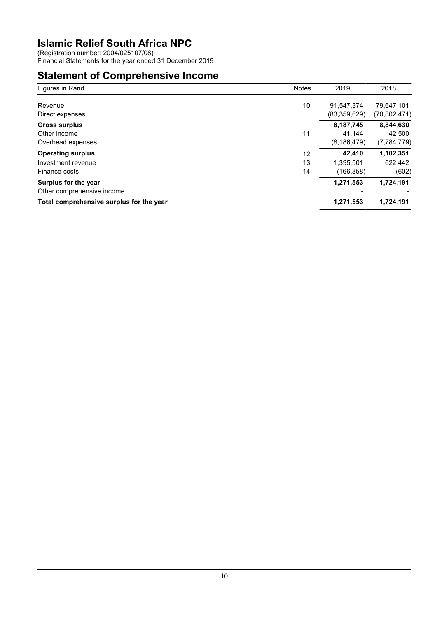(Registration number: 2004/025107/08)

Financial Statements for the year ended 31 December 2019

### Statement of Comprehensive Income

| Figures in Rand                          | <b>Notes</b> | 2019           | 2018           |
|------------------------------------------|--------------|----------------|----------------|
| Revenue                                  | 10           | 91,547,374     | 79,647,101     |
| Direct expenses                          |              | (83, 359, 629) | (70, 802, 471) |
| <b>Gross surplus</b>                     |              | 8,187,745      | 8,844,630      |
| Other income                             | 11           | 41.144         | 42,500         |
| Overhead expenses                        |              | (8, 186, 479)  | (7,784,779)    |
| <b>Operating surplus</b>                 | 12           | 42.410         | 1,102,351      |
| Investment revenue                       | 13           | 1,395,501      | 622,442        |
| Finance costs                            | 14           | (166, 358)     | (602)          |
| Surplus for the year                     |              | 1,271,553      | 1,724,191      |
| Other comprehensive income               |              |                |                |
| Total comprehensive surplus for the year |              | 1,271,553      | 1,724,191      |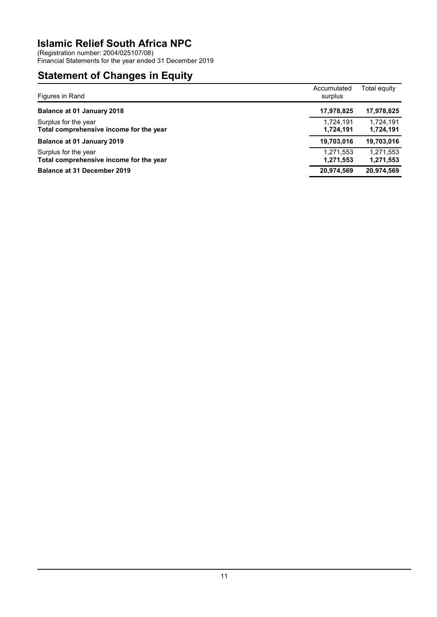(Registration number: 2004/025107/08) Financial Statements for the year ended 31 December 2019

## Statement of Changes in Equity

| Figures in Rand                                                 | Accumulated<br>surplus | Total equity           |
|-----------------------------------------------------------------|------------------------|------------------------|
| Balance at 01 January 2018                                      | 17,978,825             | 17,978,825             |
| Surplus for the year<br>Total comprehensive income for the year | 1,724,191<br>1,724,191 | 1,724,191<br>1,724,191 |
| Balance at 01 January 2019                                      | 19,703,016             | 19,703,016             |
| Surplus for the year<br>Total comprehensive income for the year | 1.271.553<br>1,271,553 | 1,271,553<br>1,271,553 |
| <b>Balance at 31 December 2019</b>                              | 20,974,569             | 20,974,569             |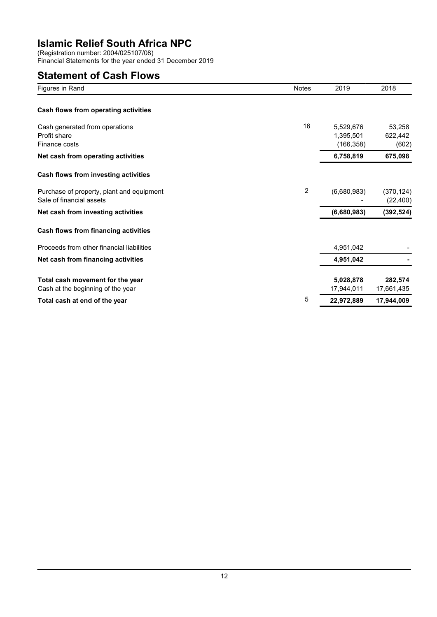(Registration number: 2004/025107/08) Financial Statements for the year ended 31 December 2019

### Statement of Cash Flows

| Figures in Rand                                                       | Notes          | 2019                                 | 2018                       |
|-----------------------------------------------------------------------|----------------|--------------------------------------|----------------------------|
| Cash flows from operating activities                                  |                |                                      |                            |
| Cash generated from operations<br>Profit share<br>Finance costs       | 16             | 5,529,676<br>1,395,501<br>(166, 358) | 53,258<br>622,442<br>(602) |
| Net cash from operating activities                                    |                | 6,758,819                            | 675,098                    |
| Cash flows from investing activities                                  |                |                                      |                            |
| Purchase of property, plant and equipment<br>Sale of financial assets | $\overline{2}$ | (6,680,983)                          | (370, 124)<br>(22, 400)    |
| Net cash from investing activities                                    |                | (6,680,983)                          | (392, 524)                 |
| Cash flows from financing activities                                  |                |                                      |                            |
| Proceeds from other financial liabilities                             |                | 4,951,042                            |                            |
| Net cash from financing activities                                    |                | 4,951,042                            |                            |
| Total cash movement for the year<br>Cash at the beginning of the year |                | 5,028,878<br>17,944,011              | 282,574<br>17,661,435      |
| Total cash at end of the year                                         | 5              | 22,972,889                           | 17,944,009                 |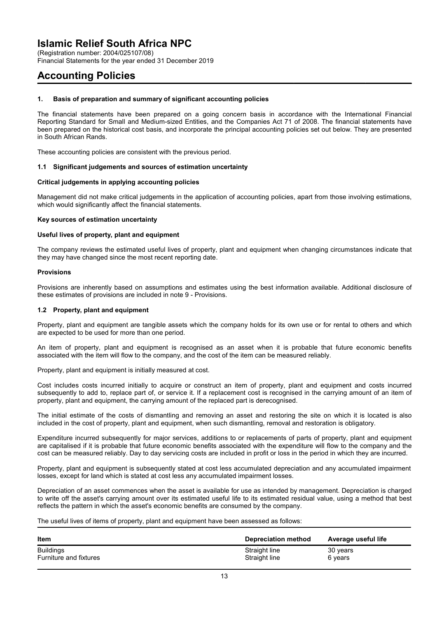(Registration number: 2004/025107/08) Financial Statements for the year ended 31 December 2019

### Accounting Policies

#### 1. Basis of preparation and summary of significant accounting policies

The financial statements have been prepared on a going concern basis in accordance with the International Financial Reporting Standard for Small and Medium-sized Entities, and the Companies Act 71 of 2008. The financial statements have been prepared on the historical cost basis, and incorporate the principal accounting policies set out below. They are presented in South African Rands.

These accounting policies are consistent with the previous period.

#### 1.1 Significant judgements and sources of estimation uncertainty

#### Critical judgements in applying accounting policies

Management did not make critical judgements in the application of accounting policies, apart from those involving estimations, which would significantly affect the financial statements.

#### Key sources of estimation uncertainty

#### Useful lives of property, plant and equipment

The company reviews the estimated useful lives of property, plant and equipment when changing circumstances indicate that they may have changed since the most recent reporting date.

#### **Provisions**

Provisions are inherently based on assumptions and estimates using the best information available. Additional disclosure of these estimates of provisions are included in note 9 - Provisions.

#### 1.2 Property, plant and equipment

Property, plant and equipment are tangible assets which the company holds for its own use or for rental to others and which are expected to be used for more than one period.

An item of property, plant and equipment is recognised as an asset when it is probable that future economic benefits associated with the item will flow to the company, and the cost of the item can be measured reliably.

Property, plant and equipment is initially measured at cost.

Cost includes costs incurred initially to acquire or construct an item of property, plant and equipment and costs incurred subsequently to add to, replace part of, or service it. If a replacement cost is recognised in the carrying amount of an item of property, plant and equipment, the carrying amount of the replaced part is derecognised.

The initial estimate of the costs of dismantling and removing an asset and restoring the site on which it is located is also included in the cost of property, plant and equipment, when such dismantling, removal and restoration is obligatory.

Expenditure incurred subsequently for major services, additions to or replacements of parts of property, plant and equipment are capitalised if it is probable that future economic benefits associated with the expenditure will flow to the company and the cost can be measured reliably. Day to day servicing costs are included in profit or loss in the period in which they are incurred.

Property, plant and equipment is subsequently stated at cost less accumulated depreciation and any accumulated impairment losses, except for land which is stated at cost less any accumulated impairment losses.

Depreciation of an asset commences when the asset is available for use as intended by management. Depreciation is charged to write off the asset's carrying amount over its estimated useful life to its estimated residual value, using a method that best reflects the pattern in which the asset's economic benefits are consumed by the company.

The useful lives of items of property, plant and equipment have been assessed as follows:

| <b>Item</b>            | Depreciation method | Average useful life |
|------------------------|---------------------|---------------------|
| <b>Buildings</b>       | Straight line       | 30 years            |
| Furniture and fixtures | Straight line       | 6 years             |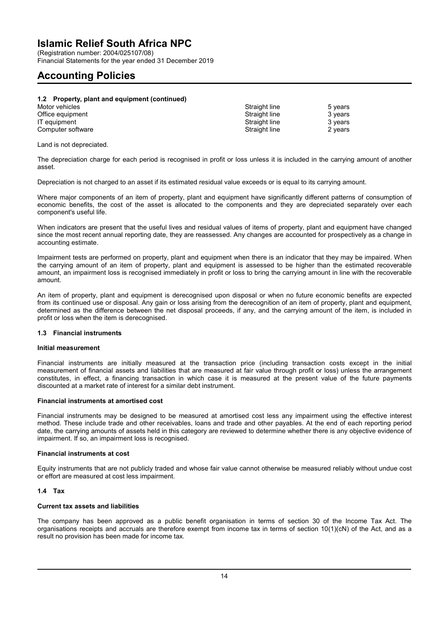(Registration number: 2004/025107/08) Financial Statements for the year ended 31 December 2019

### Accounting Policies

#### 1.2 Property, plant and equipment (continued)

| Motor vehicles    | Straight line | 5 vears |
|-------------------|---------------|---------|
| Office equipment  | Straight line | 3 vears |
| IT equipment      | Straight line | 3 vears |
| Computer software | Straight line | 2 vears |

Land is not depreciated.

The depreciation charge for each period is recognised in profit or loss unless it is included in the carrying amount of another asset.

Depreciation is not charged to an asset if its estimated residual value exceeds or is equal to its carrying amount.

Where major components of an item of property, plant and equipment have significantly different patterns of consumption of economic benefits, the cost of the asset is allocated to the components and they are depreciated separately over each component's useful life.

When indicators are present that the useful lives and residual values of items of property, plant and equipment have changed since the most recent annual reporting date, they are reassessed. Any changes are accounted for prospectively as a change in accounting estimate.

Impairment tests are performed on property, plant and equipment when there is an indicator that they may be impaired. When the carrying amount of an item of property, plant and equipment is assessed to be higher than the estimated recoverable amount, an impairment loss is recognised immediately in profit or loss to bring the carrying amount in line with the recoverable amount.

An item of property, plant and equipment is derecognised upon disposal or when no future economic benefits are expected from its continued use or disposal. Any gain or loss arising from the derecognition of an item of property, plant and equipment, determined as the difference between the net disposal proceeds, if any, and the carrying amount of the item, is included in profit or loss when the item is derecognised.

#### 1.3 Financial instruments

#### Initial measurement

Financial instruments are initially measured at the transaction price (including transaction costs except in the initial measurement of financial assets and liabilities that are measured at fair value through profit or loss) unless the arrangement constitutes, in effect, a financing transaction in which case it is measured at the present value of the future payments discounted at a market rate of interest for a similar debt instrument.

#### Financial instruments at amortised cost

Financial instruments may be designed to be measured at amortised cost less any impairment using the effective interest method. These include trade and other receivables, loans and trade and other payables. At the end of each reporting period date, the carrying amounts of assets held in this category are reviewed to determine whether there is any objective evidence of impairment. If so, an impairment loss is recognised.

#### Financial instruments at cost

Equity instruments that are not publicly traded and whose fair value cannot otherwise be measured reliably without undue cost or effort are measured at cost less impairment.

#### 1.4 Tax

#### Current tax assets and liabilities

The company has been approved as a public benefit organisation in terms of section 30 of the Income Tax Act. The organisations receipts and accruals are therefore exempt from income tax in terms of section 10(1)(cN) of the Act, and as a result no provision has been made for income tax.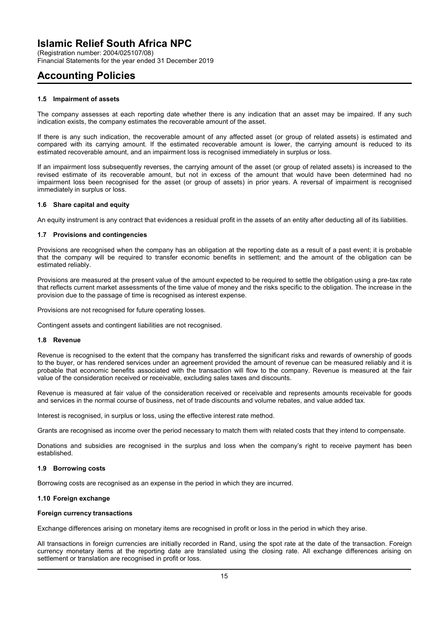(Registration number: 2004/025107/08) Financial Statements for the year ended 31 December 2019

### Accounting Policies

#### 1.5 Impairment of assets

The company assesses at each reporting date whether there is any indication that an asset may be impaired. If any such indication exists, the company estimates the recoverable amount of the asset.

If there is any such indication, the recoverable amount of any affected asset (or group of related assets) is estimated and compared with its carrying amount. If the estimated recoverable amount is lower, the carrying amount is reduced to its estimated recoverable amount, and an impairment loss is recognised immediately in surplus or loss.

If an impairment loss subsequently reverses, the carrying amount of the asset (or group of related assets) is increased to the revised estimate of its recoverable amount, but not in excess of the amount that would have been determined had no impairment loss been recognised for the asset (or group of assets) in prior years. A reversal of impairment is recognised immediately in surplus or loss.

#### 1.6 Share capital and equity

An equity instrument is any contract that evidences a residual profit in the assets of an entity after deducting all of its liabilities.

#### 1.7 Provisions and contingencies

Provisions are recognised when the company has an obligation at the reporting date as a result of a past event; it is probable that the company will be required to transfer economic benefits in settlement; and the amount of the obligation can be estimated reliably.

Provisions are measured at the present value of the amount expected to be required to settle the obligation using a pre-tax rate that reflects current market assessments of the time value of money and the risks specific to the obligation. The increase in the provision due to the passage of time is recognised as interest expense.

Provisions are not recognised for future operating losses.

Contingent assets and contingent liabilities are not recognised.

#### 1.8 Revenue

Revenue is recognised to the extent that the company has transferred the significant risks and rewards of ownership of goods to the buyer, or has rendered services under an agreement provided the amount of revenue can be measured reliably and it is probable that economic benefits associated with the transaction will flow to the company. Revenue is measured at the fair value of the consideration received or receivable, excluding sales taxes and discounts.

Revenue is measured at fair value of the consideration received or receivable and represents amounts receivable for goods and services in the normal course of business, net of trade discounts and volume rebates, and value added tax.

Interest is recognised, in surplus or loss, using the effective interest rate method.

Grants are recognised as income over the period necessary to match them with related costs that they intend to compensate.

Donations and subsidies are recognised in the surplus and loss when the company's right to receive payment has been established.

#### 1.9 Borrowing costs

Borrowing costs are recognised as an expense in the period in which they are incurred.

#### 1.10 Foreign exchange

#### Foreign currency transactions

Exchange differences arising on monetary items are recognised in profit or loss in the period in which they arise.

All transactions in foreign currencies are initially recorded in Rand, using the spot rate at the date of the transaction. Foreign currency monetary items at the reporting date are translated using the closing rate. All exchange differences arising on settlement or translation are recognised in profit or loss.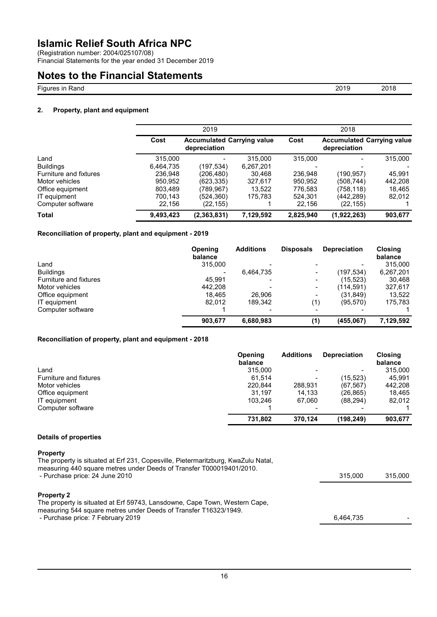(Registration number: 2004/025107/08)

Financial Statements for the year ended 31 December 2019

### Notes to the Financial Statements

#### Figures in Rand 2018 2018 2018 2018

#### 2. Property, plant and equipment

|                        |           | 2019                                              |           |           | 2018         |                                   |  |
|------------------------|-----------|---------------------------------------------------|-----------|-----------|--------------|-----------------------------------|--|
|                        | Cost      | <b>Accumulated Carrying value</b><br>depreciation |           | Cost      | depreciation | <b>Accumulated Carrying value</b> |  |
| Land                   | 315,000   |                                                   | 315,000   | 315,000   |              | 315,000                           |  |
| <b>Buildings</b>       | 6,464,735 | (197,534)                                         | 6,267,201 |           |              |                                   |  |
| Furniture and fixtures | 236.948   | (206,480)                                         | 30.468    | 236.948   | (190.957)    | 45,991                            |  |
| Motor vehicles         | 950,952   | (623,335)                                         | 327,617   | 950,952   | (508.744)    | 442,208                           |  |
| Office equipment       | 803,489   | (789.967)                                         | 13.522    | 776,583   | (758,118)    | 18,465                            |  |
| IT equipment           | 700,143   | (524,360)                                         | 175.783   | 524,301   | (442,289)    | 82,012                            |  |
| Computer software      | 22.156    | (22, 155)                                         |           | 22.156    | (22, 155)    |                                   |  |
| <b>Total</b>           | 9,493,423 | (2,363,831)                                       | 7,129,592 | 2,825,940 | (1,922,263)  | 903,677                           |  |

#### Reconciliation of property, plant and equipment - 2019

|                        | <b>Opening</b><br>balance | <b>Additions</b> | <b>Disposals</b>         | <b>Depreciation</b> | <b>Closing</b><br>balance |
|------------------------|---------------------------|------------------|--------------------------|---------------------|---------------------------|
| Land                   | 315,000                   |                  |                          |                     | 315,000                   |
| <b>Buildings</b>       |                           | 6.464.735        |                          | (197,534)           | 6,267,201                 |
| Furniture and fixtures | 45.991                    | -                | $\overline{\phantom{0}}$ | (15, 523)           | 30,468                    |
| Motor vehicles         | 442.208                   |                  | $\overline{\phantom{0}}$ | (114,591)           | 327,617                   |
| Office equipment       | 18.465                    | 26.906           |                          | (31, 849)           | 13,522                    |
| IT equipment           | 82.012                    | 189.342          | (1)                      | (95, 570)           | 175,783                   |
| Computer software      |                           |                  |                          |                     |                           |
|                        | 903.677                   | 6,680,983        | (1)                      | (455,067)           | 7,129,592                 |

#### Reconciliation of property, plant and equipment - 2018

|                        | Opening<br>balance | <b>Additions</b> | <b>Depreciation</b>      | <b>Closing</b><br>balance |
|------------------------|--------------------|------------------|--------------------------|---------------------------|
| ∟and                   | 315,000            |                  | $\overline{\phantom{0}}$ | 315,000                   |
| Furniture and fixtures | 61.514             |                  | (15, 523)                | 45.991                    |
| Motor vehicles         | 220.844            | 288.931          | (67.567)                 | 442.208                   |
| Office equipment       | 31.197             | 14.133           | (26, 865)                | 18.465                    |
| IT equipment           | 103.246            | 67.060           | (88.294)                 | 82,012                    |
| Computer software      |                    |                  |                          |                           |
|                        | 731,802            | 370.124          | (198.249)                | 903,677                   |

#### Details of properties

#### Property

The property is situated at Erf 231, Copesville, Pietermaritzburg, KwaZulu Natal, measuring 440 square metres under Deeds of Transfer T000019401/2010. - Purchase price: 24 June 2010 315,000 315,000 315,000 315,000

#### Property 2

The property is situated at Erf 59743, Lansdowne, Cape Town, Western Cape, measuring 544 square metres under Deeds of Transfer T16323/1949. - Purchase price: 7 February 2019 6,464,735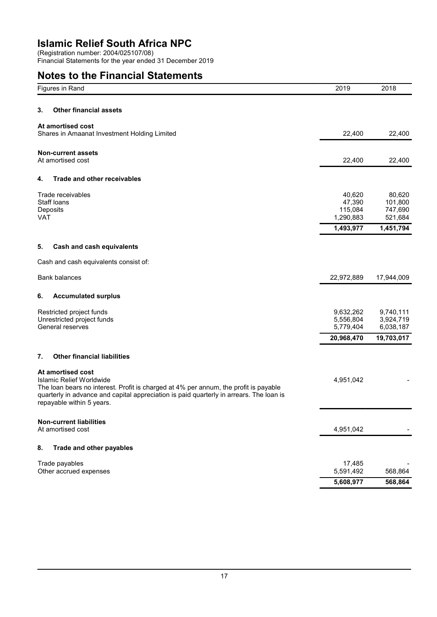(Registration number: 2004/025107/08) Financial Statements for the year ended 31 December 2019

### Notes to the Financial Statements

|            | Figures in Rand                                                                         |            | 2018       |
|------------|-----------------------------------------------------------------------------------------|------------|------------|
| 3.         | <b>Other financial assets</b>                                                           |            |            |
|            | At amortised cost                                                                       |            |            |
|            | Shares in Amaanat Investment Holding Limited                                            | 22,400     | 22,400     |
|            | <b>Non-current assets</b>                                                               |            |            |
|            | At amortised cost                                                                       | 22,400     | 22,400     |
| 4.         | Trade and other receivables                                                             |            |            |
|            | Trade receivables                                                                       | 40,620     | 80,620     |
|            | Staff loans                                                                             | 47,390     | 101,800    |
|            | Deposits                                                                                | 115,084    | 747,690    |
| <b>VAT</b> |                                                                                         | 1,290,883  | 521,684    |
|            |                                                                                         | 1,493,977  | 1,451,794  |
| 5.         | <b>Cash and cash equivalents</b>                                                        |            |            |
|            | Cash and cash equivalents consist of:                                                   |            |            |
|            | <b>Bank balances</b>                                                                    | 22,972,889 | 17,944,009 |
| 6.         | <b>Accumulated surplus</b>                                                              |            |            |
|            | Restricted project funds                                                                | 9,632,262  | 9,740,111  |
|            | Unrestricted project funds                                                              | 5,556,804  | 3,924,719  |
|            | General reserves                                                                        | 5,779,404  | 6,038,187  |
|            |                                                                                         | 20,968,470 | 19,703,017 |
| 7.         | <b>Other financial liabilities</b>                                                      |            |            |
|            | At amortised cost                                                                       |            |            |
|            | <b>Islamic Relief Worldwide</b>                                                         | 4,951,042  |            |
|            | The loan bears no interest. Profit is charged at 4% per annum, the profit is payable    |            |            |
|            | quarterly in advance and capital appreciation is paid quarterly in arrears. The loan is |            |            |
|            | repayable within 5 years.                                                               |            |            |
|            | <b>Non-current liabilities</b>                                                          |            |            |
|            | At amortised cost                                                                       | 4,951,042  |            |
| 8.         | Trade and other payables                                                                |            |            |
|            | Trade payables                                                                          | 17,485     |            |
|            | Other accrued expenses                                                                  | 5,591,492  | 568,864    |
|            |                                                                                         | 5,608,977  | 568,864    |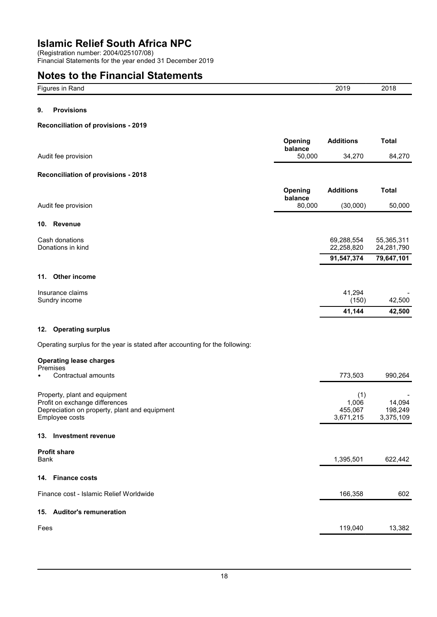(Registration number: 2004/025107/08) Financial Statements for the year ended 31 December 2019

### Notes to the Financial Statements

| <u>.</u><br>Fiaures<br>Rand<br>$\sim$<br>ш<br>. . | ິ<br>∠∪ | 2018<br>$- - -$ |
|---------------------------------------------------|---------|-----------------|
|                                                   |         |                 |

### 9. Provisions

#### Reconciliation of provisions - 2019

|                                                                                                                                    | Opening<br>balance | <b>Additions</b>                     | <b>Total</b>                   |
|------------------------------------------------------------------------------------------------------------------------------------|--------------------|--------------------------------------|--------------------------------|
| Audit fee provision                                                                                                                | 50,000             | 34,270                               | 84,270                         |
| <b>Reconciliation of provisions - 2018</b>                                                                                         |                    |                                      |                                |
|                                                                                                                                    | Opening<br>balance | <b>Additions</b>                     | <b>Total</b>                   |
| Audit fee provision                                                                                                                | 80,000             | (30,000)                             | 50,000                         |
| 10. Revenue                                                                                                                        |                    |                                      |                                |
| Cash donations<br>Donations in kind                                                                                                |                    | 69,288,554<br>22,258,820             | 55,365,311<br>24,281,790       |
|                                                                                                                                    |                    | 91,547,374                           | 79,647,101                     |
| 11. Other income                                                                                                                   |                    |                                      |                                |
| Insurance claims<br>Sundry income                                                                                                  |                    | 41,294<br>(150)                      | 42,500                         |
|                                                                                                                                    |                    | 41,144                               | 42,500                         |
| 12. Operating surplus                                                                                                              |                    |                                      |                                |
| Operating surplus for the year is stated after accounting for the following:                                                       |                    |                                      |                                |
| <b>Operating lease charges</b><br>Premises                                                                                         |                    |                                      |                                |
| Contractual amounts<br>٠                                                                                                           |                    | 773,503                              | 990,264                        |
| Property, plant and equipment<br>Profit on exchange differences<br>Depreciation on property, plant and equipment<br>Employee costs |                    | (1)<br>1,006<br>455,067<br>3,671,215 | 14,094<br>198,249<br>3,375,109 |
| 13. Investment revenue                                                                                                             |                    |                                      |                                |
| <b>Profit share</b><br><b>Bank</b>                                                                                                 |                    | 1,395,501                            | 622,442                        |
| 14. Finance costs                                                                                                                  |                    |                                      |                                |
| Finance cost - Islamic Relief Worldwide                                                                                            |                    | 166,358                              | 602                            |
| 15. Auditor's remuneration                                                                                                         |                    |                                      |                                |
| Fees                                                                                                                               |                    | 119,040                              | 13,382                         |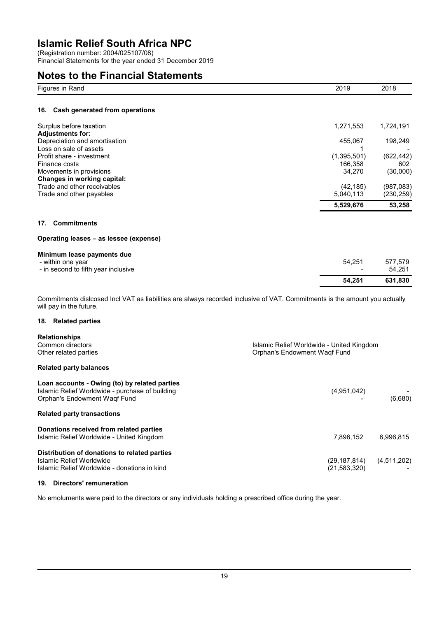(Registration number: 2004/025107/08) Financial Statements for the year ended 31 December 2019

### Notes to the Financial Statements

| Figures in Rand                                    | 2019                   | 2018              |
|----------------------------------------------------|------------------------|-------------------|
| Cash generated from operations<br>16.              |                        |                   |
| Surplus before taxation<br><b>Adjustments for:</b> | 1,271,553              | 1,724,191         |
| Depreciation and amortisation                      | 455,067                | 198,249           |
| Loss on sale of assets                             |                        |                   |
| Profit share - investment<br>Finance costs         | (1,395,501)<br>166,358 | (622, 442)<br>602 |
| Movements in provisions                            | 34,270                 | (30,000)          |
| Changes in working capital:                        |                        |                   |
| Trade and other receivables                        | (42, 185)              | (987,083)         |
| Trade and other payables                           | 5,040,113              | (230, 259)        |
|                                                    | 5,529,676              | 53,258            |
| <b>Commitments</b><br>17.                          |                        |                   |
| Operating leases – as lessee (expense)             |                        |                   |
| Minimum lease payments due                         |                        |                   |
| - within one year                                  | 54,251                 | 577,579           |
| - in second to fifth year inclusive                |                        | 54,251            |
|                                                    | 54,251                 | 631,830           |

Commitments dislcosed Incl VAT as liabilities are always recorded inclusive of VAT. Commitments is the amount you actually will pay in the future.

#### 18. Related parties

| <b>Relationships</b>                                                                                                             |                                                    |           |
|----------------------------------------------------------------------------------------------------------------------------------|----------------------------------------------------|-----------|
| Common directors                                                                                                                 | Islamic Relief Worldwide - United Kingdom          |           |
| Orphan's Endowment Wagf Fund<br>Other related parties                                                                            |                                                    |           |
| <b>Related party balances</b>                                                                                                    |                                                    |           |
| Loan accounts - Owing (to) by related parties<br>Islamic Relief Worldwide - purchase of building<br>Orphan's Endowment Wagf Fund | (4,951,042)                                        | (6,680)   |
| <b>Related party transactions</b>                                                                                                |                                                    |           |
| Donations received from related parties<br>Islamic Relief Worldwide - United Kingdom                                             | 7.896.152                                          | 6.996.815 |
| Distribution of donations to related parties<br>Islamic Relief Worldwide<br>Islamic Relief Worldwide - donations in kind         | $(29, 187, 814)$ $(4, 511, 202)$<br>(21, 583, 320) |           |

#### 19. Directors' remuneration

No emoluments were paid to the directors or any individuals holding a prescribed office during the year.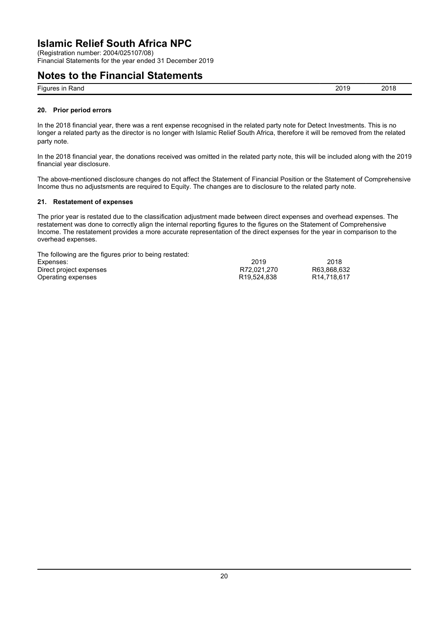(Registration number: 2004/025107/08) Financial Statements for the year ended 31 December 2019

### Notes to the Financial Statements

Figures in Rand 2019 2018

#### 20. Prior period errors

In the 2018 financial year, there was a rent expense recognised in the related party note for Detect Investments. This is no longer a related party as the director is no longer with Islamic Relief South Africa, therefore it will be removed from the related party note.

In the 2018 financial year, the donations received was omitted in the related party note, this will be included along with the 2019 financial year disclosure.

The above-mentioned disclosure changes do not affect the Statement of Financial Position or the Statement of Comprehensive Income thus no adjustsments are required to Equity. The changes are to disclosure to the related party note.

#### 21. Restatement of expenses

The prior year is restated due to the classification adjustment made between direct expenses and overhead expenses. The restatement was done to correctly align the internal reporting figures to the figures on the Statement of Comprehensive Income. The restatement provides a more accurate representation of the direct expenses for the year in comparison to the overhead expenses.

The following are the figures prior to being restated: Expenses: 2019 2018 Direct project expenses<br>
Operating expenses<br>
Operating expenses<br>
R19,524,838<br>
R114,718,617 Operating expenses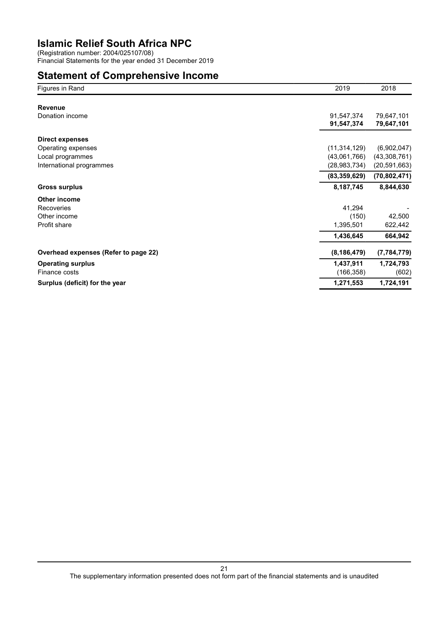(Registration number: 2004/025107/08) Financial Statements for the year ended 31 December 2019

### Statement of Comprehensive Income

| Figures in Rand                      | 2019                     | 2018                     |
|--------------------------------------|--------------------------|--------------------------|
| <b>Revenue</b>                       |                          |                          |
| Donation income                      | 91,547,374<br>91,547,374 | 79,647,101<br>79,647,101 |
| <b>Direct expenses</b>               |                          |                          |
| Operating expenses                   | (11, 314, 129)           | (6,902,047)              |
| Local programmes                     | (43,061,766)             | (43,308,761)             |
| International programmes             | (28, 983, 734)           | (20, 591, 663)           |
|                                      | (83, 359, 629)           | (70, 802, 471)           |
| <b>Gross surplus</b>                 | 8,187,745                | 8,844,630                |
| Other income                         |                          |                          |
| Recoveries                           | 41,294                   |                          |
| Other income                         | (150)                    | 42,500                   |
| Profit share                         | 1,395,501                | 622,442                  |
|                                      | 1,436,645                | 664,942                  |
| Overhead expenses (Refer to page 22) | (8, 186, 479)            | (7,784,779)              |
| <b>Operating surplus</b>             | 1,437,911                | 1,724,793                |
| Finance costs                        | (166, 358)               | (602)                    |
| Surplus (deficit) for the year       | 1,271,553                | 1,724,191                |
|                                      |                          |                          |